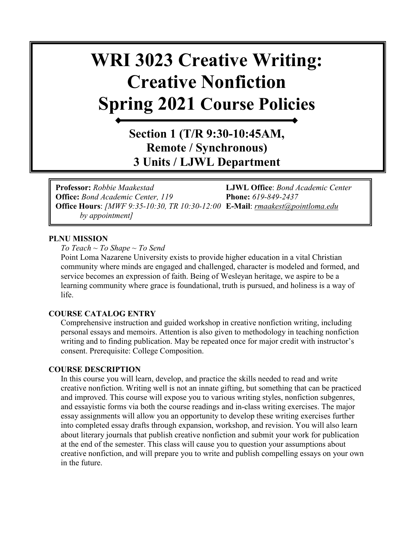# **WRI 3023 Creative Writing: Creative Nonfiction Spring 2021 Course Policies**

# **Section 1 (T/R 9:30-10:45AM, Remote / Synchronous) 3 Units / LJWL Department**

**Professor:** *Robbie Maakestad* **LJWL Office**: *Bond Academic Center*  **Office:** *Bond Academic Center, 119* **Phone:** *619-849-2437* **Office Hours**: *[MWF 9:35-10:30, TR 10:30-12:00* **E-Mail**: *[rmaakest@pointloma.edu](mailto:rmaakest@pointloma.edu)  by appointment]*

#### **PLNU MISSION**

*To Teach ~ To Shape ~ To Send* 

Point Loma Nazarene University exists to provide higher education in a vital Christian community where minds are engaged and challenged, character is modeled and formed, and service becomes an expression of faith. Being of Wesleyan heritage, we aspire to be a learning community where grace is foundational, truth is pursued, and holiness is a way of life.

#### **COURSE CATALOG ENTRY**

Comprehensive instruction and guided workshop in creative nonfiction writing, including personal essays and memoirs. Attention is also given to methodology in teaching nonfiction writing and to finding publication. May be repeated once for major credit with instructor's consent. Prerequisite: College Composition.

#### **COURSE DESCRIPTION**

In this course you will learn, develop, and practice the skills needed to read and write creative nonfiction. Writing well is not an innate gifting, but something that can be practiced and improved. This course will expose you to various writing styles, nonfiction subgenres, and essayistic forms via both the course readings and in-class writing exercises. The major essay assignments will allow you an opportunity to develop these writing exercises further into completed essay drafts through expansion, workshop, and revision. You will also learn about literary journals that publish creative nonfiction and submit your work for publication at the end of the semester. This class will cause you to question your assumptions about creative nonfiction, and will prepare you to write and publish compelling essays on your own in the future.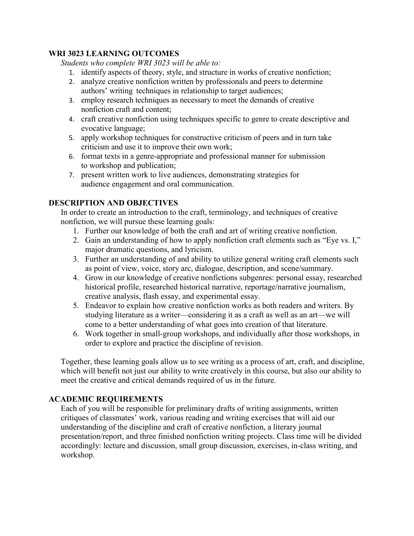# **WRI 3023 LEARNING OUTCOMES**

*Students who complete WRI 3023 will be able to:* 

- 1. identify aspects of theory, style, and structure in works of creative nonfiction;
- 2. analyze creative nonfiction written by professionals and peers to determine authors' writing techniques in relationship to target audiences;
- 3. employ research techniques as necessary to meet the demands of creative nonfiction craft and content;
- 4. craft creative nonfiction using techniques specific to genre to create descriptive and evocative language;
- 5. apply workshop techniques for constructive criticism of peers and in turn take criticism and use it to improve their own work;
- 6. format texts in a genre-appropriate and professional manner for submission to workshop and publication;
- 7. present written work to live audiences, demonstrating strategies for audience engagement and oral communication.

# **DESCRIPTION AND OBJECTIVES**

In order to create an introduction to the craft, terminology, and techniques of creative nonfiction, we will pursue these learning goals:

- 1. Further our knowledge of both the craft and art of writing creative nonfiction.
- 2. Gain an understanding of how to apply nonfiction craft elements such as "Eye vs. I," major dramatic questions, and lyricism.
- 3. Further an understanding of and ability to utilize general writing craft elements such as point of view, voice, story arc, dialogue, description, and scene/summary.
- 4. Grow in our knowledge of creative nonfictions subgenres: personal essay, researched historical profile, researched historical narrative, reportage/narrative journalism, creative analysis, flash essay, and experimental essay.
- 5. Endeavor to explain how creative nonfiction works as both readers and writers. By studying literature as a writer—considering it as a craft as well as an art—we will come to a better understanding of what goes into creation of that literature.
- 6. Work together in small-group workshops, and individually after those workshops, in order to explore and practice the discipline of revision.

Together, these learning goals allow us to see writing as a process of art, craft, and discipline, which will benefit not just our ability to write creatively in this course, but also our ability to meet the creative and critical demands required of us in the future.

# **ACADEMIC REQUIREMENTS**

Each of you will be responsible for preliminary drafts of writing assignments, written critiques of classmates' work, various reading and writing exercises that will aid our understanding of the discipline and craft of creative nonfiction, a literary journal presentation/report, and three finished nonfiction writing projects. Class time will be divided accordingly: lecture and discussion, small group discussion, exercises, in-class writing, and workshop.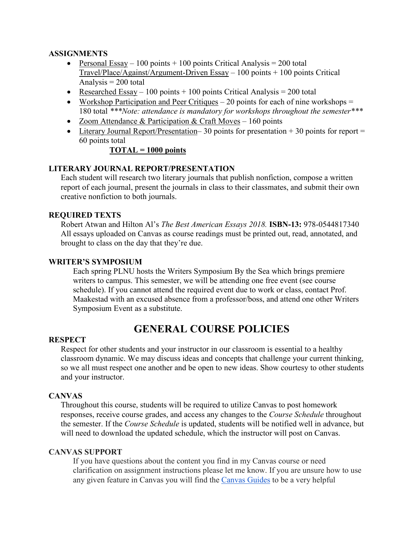# **ASSIGNMENTS**

- Personal Essay 100 points + 100 points Critical Analysis = 200 total  $Travel/Place/A$ gainst/Argument-Driven Essay – 100 points + 100 points Critical Analysis  $= 200$  total
- Researched Essay 100 points  $+$  100 points Critical Analysis = 200 total
- Workshop Participation and Peer Critiques  $-20$  points for each of nine workshops  $=$ 180 total *\*\*\*Note: attendance is mandatory for workshops throughout the semester\*\*\**
- Zoom Attendance & Participation & Craft Moves 160 points
- Literary Journal Report/Presentation–30 points for presentation  $+30$  points for report  $=$ 60 points total

# **TOTAL = 1000 points**

# **LITERARY JOURNAL REPORT/PRESENTATION**

Each student will research two literary journals that publish nonfiction, compose a written report of each journal, present the journals in class to their classmates, and submit their own creative nonfiction to both journals.

# **REQUIRED TEXTS**

Robert Atwan and Hilton Al's *The Best American Essays 2018.* **ISBN-13:** 978-0544817340 All essays uploaded on Canvas as course readings must be printed out, read, annotated, and brought to class on the day that they're due.

# **WRITER'S SYMPOSIUM**

Each spring PLNU hosts the Writers Symposium By the Sea which brings premiere writers to campus. This semester, we will be attending one free event (see course schedule). If you cannot attend the required event due to work or class, contact Prof. Maakestad with an excused absence from a professor/boss, and attend one other Writers Symposium Event as a substitute.

# **GENERAL COURSE POLICIES**

#### **RESPECT**

Respect for other students and your instructor in our classroom is essential to a healthy classroom dynamic. We may discuss ideas and concepts that challenge your current thinking, so we all must respect one another and be open to new ideas. Show courtesy to other students and your instructor.

# **CANVAS**

Throughout this course, students will be required to utilize Canvas to post homework responses, receive course grades, and access any changes to the *Course Schedule* throughout the semester. If the *Course Schedule* is updated, students will be notified well in advance, but will need to download the updated schedule, which the instructor will post on Canvas.

#### **CANVAS SUPPORT**

If you have questions about the content you find in my Canvas course or need clarification on assignment instructions please let me know. If you are unsure how to use any given feature in Canvas you will find the [Canvas Guides](https://community.canvaslms.com/community/answers/guides/) to be a very helpful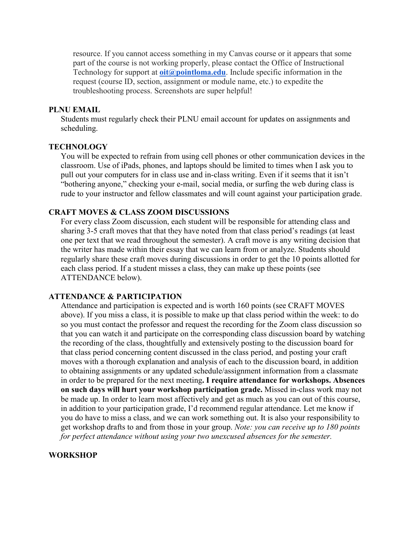resource. If you cannot access something in my Canvas course or it appears that some part of the course is not working properly, please contact the Office of Instructional Technology for support at **[oit@pointloma.edu](mailto:oit@pointloma.edu)**. Include specific information in the request (course ID, section, assignment or module name, etc.) to expedite the troubleshooting process. Screenshots are super helpful!

#### **PLNU EMAIL**

Students must regularly check their PLNU email account for updates on assignments and scheduling.

#### **TECHNOLOGY**

You will be expected to refrain from using cell phones or other communication devices in the classroom. Use of iPads, phones, and laptops should be limited to times when I ask you to pull out your computers for in class use and in-class writing. Even if it seems that it isn't "bothering anyone," checking your e-mail, social media, or surfing the web during class is rude to your instructor and fellow classmates and will count against your participation grade.

# **CRAFT MOVES & CLASS ZOOM DISCUSSIONS**

For every class Zoom discussion, each student will be responsible for attending class and sharing 3-5 craft moves that that they have noted from that class period's readings (at least one per text that we read throughout the semester). A craft move is any writing decision that the writer has made within their essay that we can learn from or analyze. Students should regularly share these craft moves during discussions in order to get the 10 points allotted for each class period. If a student misses a class, they can make up these points (see ATTENDANCE below).

#### **ATTENDANCE & PARTICIPATION**

Attendance and participation is expected and is worth 160 points (see CRAFT MOVES above). If you miss a class, it is possible to make up that class period within the week: to do so you must contact the professor and request the recording for the Zoom class discussion so that you can watch it and participate on the corresponding class discussion board by watching the recording of the class, thoughtfully and extensively posting to the discussion board for that class period concerning content discussed in the class period, and posting your craft moves with a thorough explanation and analysis of each to the discussion board, in addition to obtaining assignments or any updated schedule/assignment information from a classmate in order to be prepared for the next meeting**. I require attendance for workshops. Absences on such days will hurt your workshop participation grade.** Missed in-class work may not be made up. In order to learn most affectively and get as much as you can out of this course, in addition to your participation grade, I'd recommend regular attendance. Let me know if you do have to miss a class, and we can work something out. It is also your responsibility to get workshop drafts to and from those in your group. *Note: you can receive up to 180 points for perfect attendance without using your two unexcused absences for the semester.* 

# **WORKSHOP**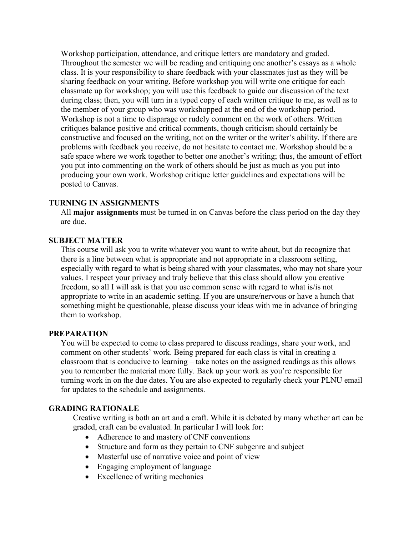Workshop participation, attendance, and critique letters are mandatory and graded. Throughout the semester we will be reading and critiquing one another's essays as a whole class. It is your responsibility to share feedback with your classmates just as they will be sharing feedback on your writing. Before workshop you will write one critique for each classmate up for workshop; you will use this feedback to guide our discussion of the text during class; then, you will turn in a typed copy of each written critique to me, as well as to the member of your group who was workshopped at the end of the workshop period. Workshop is not a time to disparage or rudely comment on the work of others. Written critiques balance positive and critical comments, though criticism should certainly be constructive and focused on the writing, not on the writer or the writer's ability. If there are problems with feedback you receive, do not hesitate to contact me. Workshop should be a safe space where we work together to better one another's writing; thus, the amount of effort you put into commenting on the work of others should be just as much as you put into producing your own work. Workshop critique letter guidelines and expectations will be posted to Canvas.

#### **TURNING IN ASSIGNMENTS**

All **major assignments** must be turned in on Canvas before the class period on the day they are due.

#### **SUBJECT MATTER**

This course will ask you to write whatever you want to write about, but do recognize that there is a line between what is appropriate and not appropriate in a classroom setting, especially with regard to what is being shared with your classmates, who may not share your values. I respect your privacy and truly believe that this class should allow you creative freedom, so all I will ask is that you use common sense with regard to what is/is not appropriate to write in an academic setting. If you are unsure/nervous or have a hunch that something might be questionable, please discuss your ideas with me in advance of bringing them to workshop.

#### **PREPARATION**

You will be expected to come to class prepared to discuss readings, share your work, and comment on other students' work. Being prepared for each class is vital in creating a classroom that is conducive to learning – take notes on the assigned readings as this allows you to remember the material more fully. Back up your work as you're responsible for turning work in on the due dates. You are also expected to regularly check your PLNU email for updates to the schedule and assignments.

# **GRADING RATIONALE**

Creative writing is both an art and a craft. While it is debated by many whether art can be graded, craft can be evaluated. In particular I will look for:

- Adherence to and mastery of CNF conventions
- Structure and form as they pertain to CNF subgenre and subject
- Masterful use of narrative voice and point of view
- Engaging employment of language
- Excellence of writing mechanics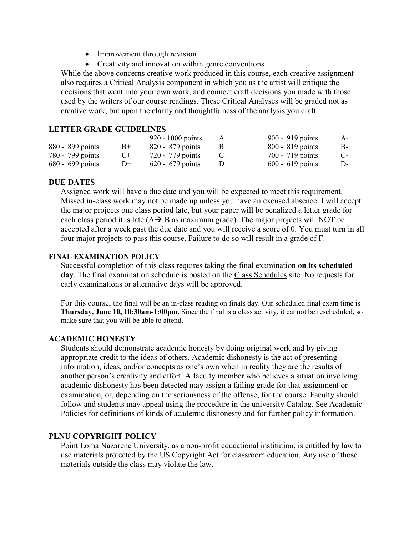- Improvement through revision
- Creativity and innovation within genre conventions

While the above concerns creative work produced in this course, each creative assignment also requires a Critical Analysis component in which you as the artist will critique the decisions that went into your own work, and connect craft decisions you made with those used by the writers of our course readings. These Critical Analyses will be graded not as creative work, but upon the clarity and thoughtfulness of the analysis you craft.

### **LETTER GRADE GUIDELINES**

|                    |           | $920 - 1000$ points | A | 900 - 919 points   | $A-$ |
|--------------------|-----------|---------------------|---|--------------------|------|
| 880 - 899 points   | $B+$      | $820 - 879$ points  |   | $800 - 819$ points | B-   |
| 780 - 799 points   | $C_{\pm}$ | 720 - 779 points    |   | $700 - 719$ points | $C-$ |
| $680 - 699$ points | $D+$      | $620 - 679$ points  |   | $600 - 619$ points | D-   |

#### **DUE DATES**

Assigned work will have a due date and you will be expected to meet this requirement. Missed in-class work may not be made up unless you have an excused absence. I will accept the major projects one class period late, but your paper will be penalized a letter grade for each class period it is late  $(A \rightarrow B$  as maximum grade). The major projects will NOT be accepted after a week past the due date and you will receive a score of 0. You must turn in all four major projects to pass this course. Failure to do so will result in a grade of F.

# **FINAL EXAMINATION POLICY**

Successful completion of this class requires taking the final examination **on its scheduled day**. The final examination schedule is posted on the [Class Schedules](http://www.pointloma.edu/experience/academics/class-schedules) site. No requests for early examinations or alternative days will be approved.

For this course, the final will be an in-class reading on finals day. Our scheduled final exam time is **Thursday, June 10, 10:30am-1:00pm.** Since the final is a class activity, it cannot be rescheduled, so make sure that you will be able to attend.

#### **ACADEMIC HONESTY**

Students should demonstrate academic honesty by doing original work and by giving appropriate credit to the ideas of others. Academic dishonesty is the act of presenting information, ideas, and/or concepts as one's own when in reality they are the results of another person's creativity and effort. A faculty member who believes a situation involving academic dishonesty has been detected may assign a failing grade for that assignment or examination, or, depending on the seriousness of the offense, for the course. Faculty should follow and students may appeal using the procedure in the university Catalog. See [Academic](http://catalog.pointloma.edu/content.php?catoid=18&navoid=1278)  [Policies](http://catalog.pointloma.edu/content.php?catoid=18&navoid=1278) for definitions of kinds of academic dishonesty and for further policy information.

# **PLNU COPYRIGHT POLICY**

Point Loma Nazarene University, as a non-profit educational institution, is entitled by law to use materials protected by the US Copyright Act for classroom education. Any use of those materials outside the class may violate the law.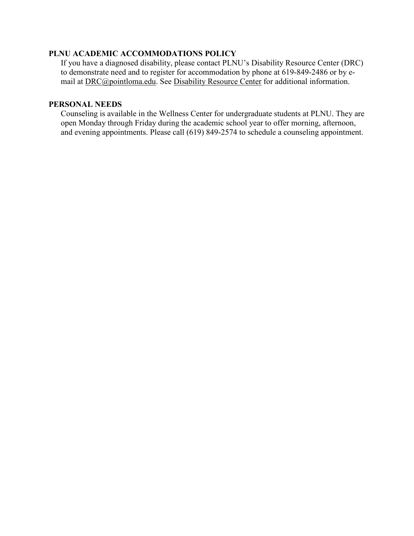# **PLNU ACADEMIC ACCOMMODATIONS POLICY**

If you have a diagnosed disability, please contact PLNU's Disability Resource Center (DRC) to demonstrate need and to register for accommodation by phone at 619-849-2486 or by email at [DRC@pointloma.edu.](mailto:DRC@pointloma.edu) See [Disability Resource Center](http://www.pointloma.edu/experience/offices/administrative-offices/academic-advising-office/disability-resource-center) for additional information.

# **PERSONAL NEEDS**

Counseling is available in the Wellness Center for undergraduate students at PLNU. They are open Monday through Friday during the academic school year to offer morning, afternoon, and evening appointments. Please call (619) 849-2574 to schedule a counseling appointment.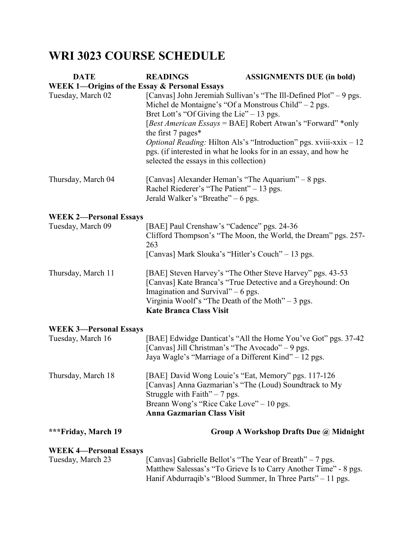# **WRI 3023 COURSE SCHEDULE**

| <b>DATE</b>                                              | <b>READINGS</b>                                                                                                                                                        | <b>ASSIGNMENTS DUE (in bold)</b>                                                                                                                                                                                                                                                  |  |  |
|----------------------------------------------------------|------------------------------------------------------------------------------------------------------------------------------------------------------------------------|-----------------------------------------------------------------------------------------------------------------------------------------------------------------------------------------------------------------------------------------------------------------------------------|--|--|
| <b>WEEK 1-Origins of the Essay &amp; Personal Essays</b> |                                                                                                                                                                        |                                                                                                                                                                                                                                                                                   |  |  |
| Tuesday, March 02                                        | Michel de Montaigne's "Of a Monstrous Child" $-2$ pgs.<br>Bret Lott's "Of Giving the Lie" $-13$ pgs.<br>the first 7 pages*<br>selected the essays in this collection)  | [Canvas] John Jeremiah Sullivan's "The Ill-Defined Plot" – 9 pgs.<br>[Best American Essays = BAE] Robert Atwan's "Forward" *only<br><i>Optional Reading:</i> Hilton Als's "Introduction" pgs. xviii-xxix - 12<br>pgs. (if interested in what he looks for in an essay, and how he |  |  |
| Thursday, March 04                                       | [Canvas] Alexander Heman's "The Aquarium" – 8 pgs.<br>Rachel Riederer's "The Patient" – 13 pgs.<br>Jerald Walker's "Breathe" – 6 pgs.                                  |                                                                                                                                                                                                                                                                                   |  |  |
| <b>WEEK 2-Personal Essays</b>                            |                                                                                                                                                                        |                                                                                                                                                                                                                                                                                   |  |  |
| Tuesday, March 09                                        | [BAE] Paul Crenshaw's "Cadence" pgs. 24-36<br>263<br>[Canvas] Mark Slouka's "Hitler's Couch" - 13 pgs.                                                                 | Clifford Thompson's "The Moon, the World, the Dream" pgs. 257-                                                                                                                                                                                                                    |  |  |
| Thursday, March 11                                       | Imagination and Survival" $-6$ pgs.<br>Virginia Woolf's "The Death of the Moth" $-3$ pgs.<br><b>Kate Branca Class Visit</b>                                            | [BAE] Steven Harvey's "The Other Steve Harvey" pgs. 43-53<br>[Canvas] Kate Branca's "True Detective and a Greyhound: On                                                                                                                                                           |  |  |
| <b>WEEK 3-Personal Essays</b>                            |                                                                                                                                                                        |                                                                                                                                                                                                                                                                                   |  |  |
| Tuesday, March 16                                        | [Canvas] Jill Christman's "The Avocado" – 9 pgs.<br>Jaya Wagle's "Marriage of a Different Kind" - 12 pgs.                                                              | [BAE] Edwidge Danticat's "All the Home You've Got" pgs. 37-42                                                                                                                                                                                                                     |  |  |
| Thursday, March 18                                       | [BAE] David Wong Louie's "Eat, Memory" pgs. 117-126<br>Struggle with Faith" $-7$ pgs.<br>Breann Wong's "Rice Cake Love" – 10 pgs.<br><b>Anna Gazmarian Class Visit</b> | [Canvas] Anna Gazmarian's "The (Loud) Soundtrack to My                                                                                                                                                                                                                            |  |  |
| ***Friday, March 19                                      |                                                                                                                                                                        | Group A Workshop Drafts Due @ Midnight                                                                                                                                                                                                                                            |  |  |
| <b>WEEK 4-Personal Essays</b><br>Tuesday, March 23       | [Canvas] Gabrielle Bellot's "The Year of Breath" – 7 pgs.                                                                                                              | Matthew Salessas's "To Grieve Is to Carry Another Time" - 8 pgs.                                                                                                                                                                                                                  |  |  |

Hanif Abdurraqib's "Blood Summer, In Three Parts" – 11 pgs.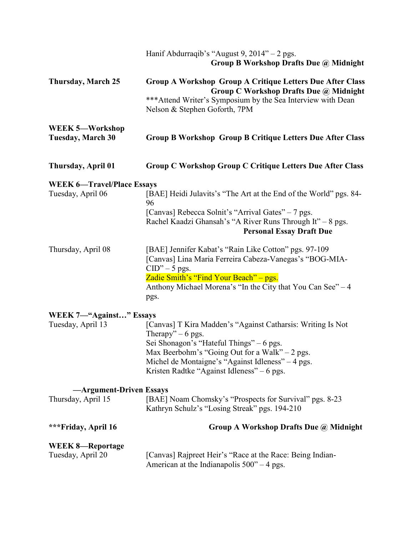|                                             | Hanif Abdurraqib's "August 9, $2014" - 2$ pgs.<br>Group B Workshop Drafts Due @ Midnight                         |
|---------------------------------------------|------------------------------------------------------------------------------------------------------------------|
| <b>Thursday, March 25</b>                   | <b>Group A Workshop Group A Critique Letters Due After Class</b><br>Group C Workshop Drafts Due @ Midnight       |
|                                             | *** Attend Writer's Symposium by the Sea Interview with Dean<br>Nelson & Stephen Goforth, 7PM                    |
| WEEK 5-Workshop<br><b>Tuesday, March 30</b> | <b>Group B Workshop Group B Critique Letters Due After Class</b>                                                 |
| Thursday, April 01                          | <b>Group C Workshop Group C Critique Letters Due After Class</b>                                                 |
| <b>WEEK 6-Travel/Place Essays</b>           |                                                                                                                  |
| Tuesday, April 06                           | [BAE] Heidi Julavits's "The Art at the End of the World" pgs. 84-<br>96                                          |
|                                             | [Canvas] Rebecca Solnit's "Arrival Gates" – 7 pgs.                                                               |
|                                             | Rachel Kaadzi Ghansah's "A River Runs Through It" - 8 pgs.<br><b>Personal Essay Draft Due</b>                    |
| Thursday, April 08                          | [BAE] Jennifer Kabat's "Rain Like Cotton" pgs. 97-109<br>[Canvas] Lina Maria Ferreira Cabeza-Vanegas's "BOG-MIA- |
|                                             | $CID" - 5$ pgs.                                                                                                  |
|                                             | Zadie Smith's "Find Your Beach" – pgs.<br>Anthony Michael Morena's "In the City that You Can See" - 4            |
|                                             | pgs.                                                                                                             |
| WEEK 7—"Against" Essays                     |                                                                                                                  |
| Tuesday, April 13                           | [Canvas] T Kira Madden's "Against Catharsis: Writing Is Not<br>Therapy" $-6$ pgs.                                |
|                                             | Sei Shonagon's "Hateful Things" – 6 pgs.<br>Max Beerbohm's "Going Out for a Walk" $-2$ pgs.                      |
|                                             | Michel de Montaigne's "Against Idleness" - 4 pgs.                                                                |
|                                             | Kristen Radtke "Against Idleness" $-6$ pgs.                                                                      |
| -Argument-Driven Essays                     |                                                                                                                  |
| Thursday, April 15                          | [BAE] Noam Chomsky's "Prospects for Survival" pgs. 8-23<br>Kathryn Schulz's "Losing Streak" pgs. 194-210         |
| ***Friday, April 16                         | Group A Workshop Drafts Due @ Midnight                                                                           |
| <b>WEEK 8-Reportage</b>                     |                                                                                                                  |
| Tuesday, April 20                           | [Canvas] Rajpreet Heir's "Race at the Race: Being Indian-<br>American at the Indianapolis $500^{\circ}$ – 4 pgs. |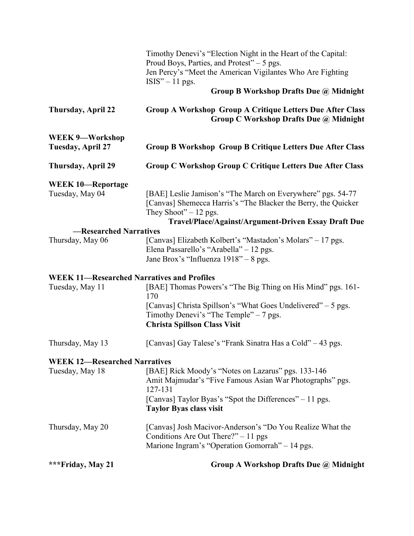|                                                   | Timothy Denevi's "Election Night in the Heart of the Capital:<br>Proud Boys, Parties, and Protest" – 5 pgs.<br>Jen Percy's "Meet the American Vigilantes Who Are Fighting<br>$ISIS'' - 11$ pgs.                 |
|---------------------------------------------------|-----------------------------------------------------------------------------------------------------------------------------------------------------------------------------------------------------------------|
|                                                   | Group B Workshop Drafts Due @ Midnight                                                                                                                                                                          |
| <b>Thursday, April 22</b>                         | <b>Group A Workshop Group A Critique Letters Due After Class</b><br>Group C Workshop Drafts Due @ Midnight                                                                                                      |
| <b>WEEK 9-Workshop</b><br>Tuesday, April 27       | <b>Group B Workshop Group B Critique Letters Due After Class</b>                                                                                                                                                |
| <b>Thursday, April 29</b>                         | <b>Group C Workshop Group C Critique Letters Due After Class</b>                                                                                                                                                |
| <b>WEEK 10-Reportage</b><br>Tuesday, May 04       | [BAE] Leslie Jamison's "The March on Everywhere" pgs. 54-77<br>[Canvas] Shemecca Harris's "The Blacker the Berry, the Quicker<br>They Shoot" $-12$ pgs.<br>Travel/Place/Against/Argument-Driven Essay Draft Due |
| -Researched Narratives                            |                                                                                                                                                                                                                 |
| Thursday, May 06                                  | [Canvas] Elizabeth Kolbert's "Mastadon's Molars" – 17 pgs.<br>Elena Passarello's "Arabella" - 12 pgs.<br>Jane Brox's "Influenza 1918" - 8 pgs.                                                                  |
| <b>WEEK 11-Researched Narratives and Profiles</b> |                                                                                                                                                                                                                 |
| Tuesday, May 11                                   | [BAE] Thomas Powers's "The Big Thing on His Mind" pgs. 161-<br>170<br>[Canvas] Christa Spillson's "What Goes Undelivered" – 5 pgs.                                                                              |
|                                                   | Timothy Denevi's "The Temple" $-7$ pgs.<br><b>Christa Spillson Class Visit</b>                                                                                                                                  |
| Thursday, May 13                                  | [Canvas] Gay Talese's "Frank Sinatra Has a Cold" – 43 pgs.                                                                                                                                                      |
| <b>WEEK 12-Researched Narratives</b>              |                                                                                                                                                                                                                 |
| Tuesday, May 18                                   | [BAE] Rick Moody's "Notes on Lazarus" pgs. 133-146<br>Amit Majmudar's "Five Famous Asian War Photographs" pgs.<br>127-131                                                                                       |
|                                                   | [Canvas] Taylor Byas's "Spot the Differences" – 11 pgs.<br><b>Taylor Byas class visit</b>                                                                                                                       |
| Thursday, May 20                                  | [Canvas] Josh Macivor-Anderson's "Do You Realize What the<br>Conditions Are Out There?" $-11$ pgs<br>Marione Ingram's "Operation Gomorrah" - 14 pgs.                                                            |
| ***Friday, May 21                                 | Group A Workshop Drafts Due @ Midnight                                                                                                                                                                          |